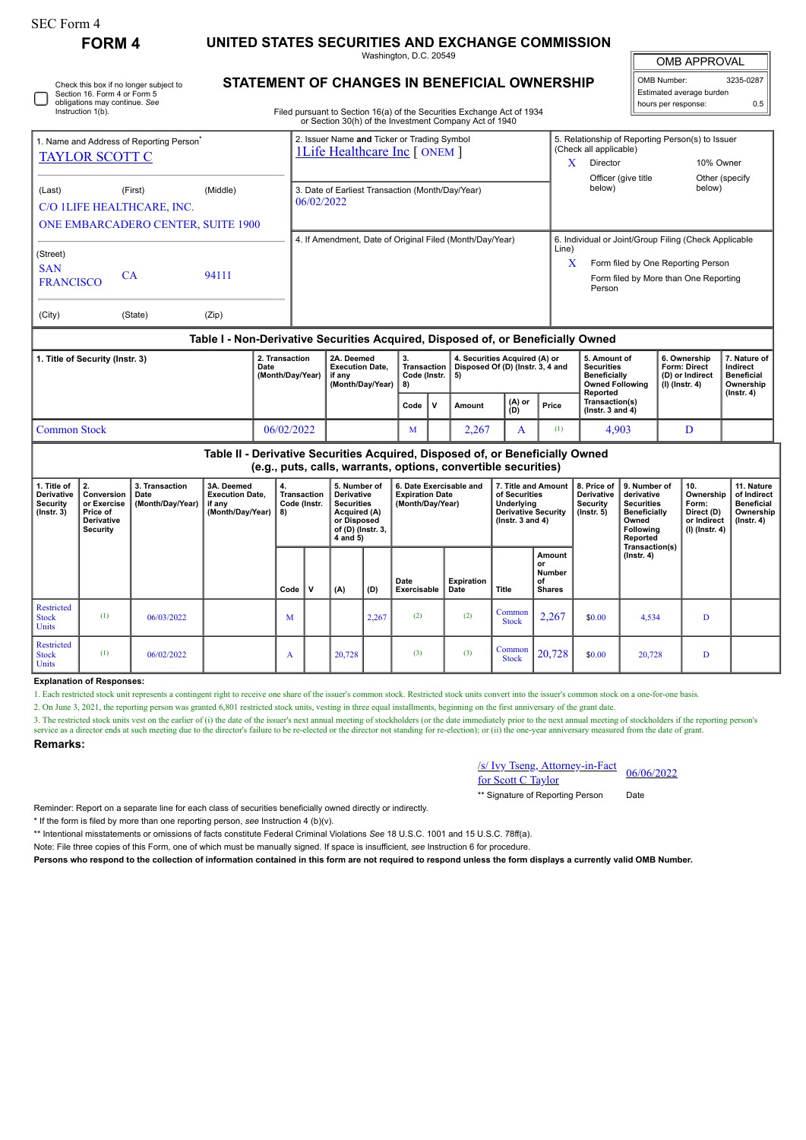| SEC Form 4                                                                                              |                                              |                                                                                                                                  |                                                           |                                                                                             |  |  |  |  |  |
|---------------------------------------------------------------------------------------------------------|----------------------------------------------|----------------------------------------------------------------------------------------------------------------------------------|-----------------------------------------------------------|---------------------------------------------------------------------------------------------|--|--|--|--|--|
| <b>FORM 4</b>                                                                                           |                                              | UNITED STATES SECURITIES AND EXCHANGE COMMISSION<br>Washington, D.C. 20549                                                       | <b>OMB APPROVAL</b>                                       |                                                                                             |  |  |  |  |  |
| Check this box if no longer subject to<br>Section 16. Form 4 or Form 5<br>obligations may continue. See | STATEMENT OF CHANGES IN BENEFICIAL OWNERSHIP | OMB Number:<br>3235-0287<br>Estimated average burden<br>0.5<br>hours per response:                                               |                                                           |                                                                                             |  |  |  |  |  |
| Instruction 1(b).                                                                                       |                                              | Filed pursuant to Section 16(a) of the Securities Exchange Act of 1934<br>or Section 30(h) of the Investment Company Act of 1940 |                                                           |                                                                                             |  |  |  |  |  |
| 1. Name and Address of Reporting Person <sup>®</sup><br><b>TAYLOR SCOTT C</b>                           |                                              | 2. Issuer Name and Ticker or Trading Symbol<br><b>1Life Healthcare Inc [ ONEM ]</b>                                              | (Check all applicable)<br>Director<br>Officer (give title | 5. Relationship of Reporting Person(s) to Issuer<br>10% Owner<br>Other (specify)            |  |  |  |  |  |
| (Last)<br>(First)<br>C/O 1LIFE HEALTHCARE, INC.<br><b>ONE EMBARCADERO CENTER, SUITE 1900</b>            | (Middle)                                     | 3. Date of Earliest Transaction (Month/Day/Year)<br>06/02/2022                                                                   | below)                                                    | below)                                                                                      |  |  |  |  |  |
| (Street)<br>C <sub>AT</sub>                                                                             |                                              | 4. If Amendment, Date of Original Filed (Month/Day/Year)                                                                         | Line)                                                     | 6. Individual or Joint/Group Filing (Check Applicable<br>Form filed by One Reporting Person |  |  |  |  |  |

FRANCISCO CA 94111 (City) (State) (Zip)

**SAN** 

## **Table I - Non-Derivative Securities Acquired, Disposed of, or Beneficially Owned**

| 1. Title of Security (Instr. 3) | 2. Transaction<br>Date<br>(Month/Day/Year) | 2A. Deemed<br><b>Execution Date.</b><br>∣ if anv<br>(Month/Dav/Year)<br><b>18)</b> |      | Code (Instr.   5) | 4. Securities Acquired (A) or<br>Transaction   Disposed Of (D) (Instr. 3, 4 and |                |       | 5. Amount of<br><b>Securities</b><br><b>Beneficially</b><br><b>Owned Following</b><br>Reported | 6. Ownership<br>Form: Direct<br>(D) or Indirect<br>  (I) (Instr. 4) | 7. Nature of<br>Indirect<br><b>Beneficial</b><br>Ownership<br>(Instr. 4) |
|---------------------------------|--------------------------------------------|------------------------------------------------------------------------------------|------|-------------------|---------------------------------------------------------------------------------|----------------|-------|------------------------------------------------------------------------------------------------|---------------------------------------------------------------------|--------------------------------------------------------------------------|
|                                 |                                            |                                                                                    | Code | ۱v                | Amount                                                                          | $(A)$ or $(D)$ | Price | Transaction(s)<br>$($ lnstr. 3 and 4 $)$                                                       |                                                                     |                                                                          |
| <b>Common Stock</b>             | 06/02/2022                                 |                                                                                    | 1VI  |                   | 2,267                                                                           | . .            | (I)   | 4.903                                                                                          |                                                                     |                                                                          |

| Table II - Derivative Securities Acquired, Disposed of, or Beneficially Owned<br>(e.g., puts, calls, warrants, options, convertible securities) |                                                                              |                                            |                                                                    |                                          |  |                                                                                                                 |       |                                                                       |                    |                                                                                                            |                                                      |                                                            |                                                                                                     |                                                                            |                                                                                 |
|-------------------------------------------------------------------------------------------------------------------------------------------------|------------------------------------------------------------------------------|--------------------------------------------|--------------------------------------------------------------------|------------------------------------------|--|-----------------------------------------------------------------------------------------------------------------|-------|-----------------------------------------------------------------------|--------------------|------------------------------------------------------------------------------------------------------------|------------------------------------------------------|------------------------------------------------------------|-----------------------------------------------------------------------------------------------------|----------------------------------------------------------------------------|---------------------------------------------------------------------------------|
| 1. Title of<br>Derivative<br><b>Security</b><br>$($ Instr. 3 $)$                                                                                | 2.<br>Conversion<br>or Exercise<br>Price of<br>Derivative<br><b>Security</b> | 3. Transaction<br>Date<br>(Month/Day/Year) | 3A. Deemed<br><b>Execution Date,</b><br>if any<br>(Month/Day/Year) | <b>Transaction</b><br>Code (Instr.<br>8) |  | 5. Number of<br>Derivative<br><b>Securities</b><br>Acquired (A)<br>or Disposed<br>of (D) (Instr. 3,<br>4 and 5) |       | 6. Date Exercisable and<br><b>Expiration Date</b><br>(Month/Day/Year) |                    | 7. Title and Amount<br>of Securities<br>Underlying<br><b>Derivative Security</b><br>$($ Instr. 3 and 4 $)$ |                                                      | 8. Price of<br><b>Derivative</b><br>Security<br>(Instr. 5) | l 9. Number of<br>derivative<br><b>Securities</b><br>Beneficially<br>Owned<br>Following<br>Reported | 10.<br>Ownership<br>Form:<br>Direct (D)<br>or Indirect<br>$(I)$ (Instr. 4) | 11. Nature<br>of Indirect<br><b>Beneficial</b><br>Ownership<br>$($ lnstr. 4 $)$ |
|                                                                                                                                                 |                                                                              |                                            |                                                                    | Code                                     |  | (A)                                                                                                             | (D)   | Date<br>Exercisable                                                   | Expiration<br>Date | Title                                                                                                      | Amount<br>or<br><b>Number</b><br>οf<br><b>Shares</b> |                                                            | Transaction(s)<br>$($ lnstr. 4 $)$                                                                  |                                                                            |                                                                                 |
| Restricted<br><b>Stock</b><br>Units                                                                                                             | (1)                                                                          | 06/03/2022                                 |                                                                    | M                                        |  |                                                                                                                 | 2,267 | (2)                                                                   | (2)                | Common<br><b>Stock</b>                                                                                     | 2,267                                                | \$0.00                                                     | 4,534                                                                                               | D                                                                          |                                                                                 |
| Restricted<br><b>Stock</b><br><b>Units</b>                                                                                                      | (1)                                                                          | 06/02/2022                                 |                                                                    | A                                        |  | 20,728                                                                                                          |       | (3)                                                                   | (3)                | Common<br><b>Stock</b>                                                                                     | 20,728                                               | \$0.00                                                     | 20,728                                                                                              | D                                                                          |                                                                                 |

## **Explanation of Responses:**

1. Each restricted stock unit represents a contingent right to receive one share of the issuer's common stock. Restricted stock units convert into the issuer's common stock on a one-for-one basis.

2. On June 3, 2021, the reporting person was granted 6,801 restricted stock units, vesting in three equal installments, beginning on the first anniversary of the grant date.

3. The restricted stock units vest on the earlier of (i) the date of the issuer's next annual meeting of stockholders (or the date immediately prior to the next annual meeting of stockholders if the reporting person's  $\mathcal{S}$  is a director ends at such meeting due to the director's failure to be re-elected or the director not standing for re-election); or (ii) the one-year anniversary measured from the date of grant.

**Remarks:**

## /s/ Ivy Tseng, Attorney-in-Fact  $\frac{\text{S/Ny Iseng, Attorney-in-Fact}}{66/06/2022}$

\*\* Signature of Reporting Person Date

Reminder: Report on a separate line for each class of securities beneficially owned directly or indirectly.

\* If the form is filed by more than one reporting person, *see* Instruction 4 (b)(v).

\*\* Intentional misstatements or omissions of facts constitute Federal Criminal Violations *See* 18 U.S.C. 1001 and 15 U.S.C. 78ff(a).

Note: File three copies of this Form, one of which must be manually signed. If space is insufficient, *see* Instruction 6 for procedure.

**Persons who respond to the collection of information contained in this form are not required to respond unless the form displays a currently valid OMB Number.**

Form filed by More than One Reporting

Person